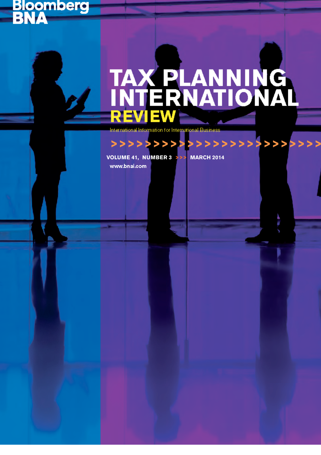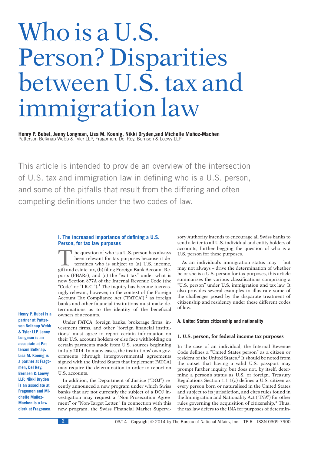# Who is a U.S. Person? Disparities between U.S. tax and immigration law

Henry P. Bubel, Jenny Longman, Lisa M. Koenig, Nikki Dryden,and Michelle Muñoz-Machen Patterson Belknap Webb & Tyler LLP, Fragomen, Del Rey, Bernsen & Loewy LLP

This article is intended to provide an overview of the intersection of U.S. tax and immigration law in defining who is a U.S. person, and some of the pitfalls that result from the differing and often competing definitions under the two codes of law.

# **I. The increased importance of defining a U.S. Person, for tax law purposes**

The question of who is a U.S. person has always<br>been relevant for tax purposes because it de-<br>termines who is subject to (a) U.S. income,<br>oift and estate tax (b) filing Foreign Bank Account Rebeen relevant for tax purposes because it determines who is subject to (a) U.S. income, gift and estate tax, (b) filing Foreign Bank Account Reports (FBARs), and (c) the "exit tax" under what is now Section 877A of the Internal Revenue Code (the "Code" or "I.R.C.").<sup>1</sup> The inquiry has become increasingly relevant, however, in the context of the Foreign Account Tax Compliance Act ("FATCA"),<sup>2</sup> as foreign banks and other financial institutions must make determinations as to the identity of the beneficial owners of accounts.

**Henry P. Bubel is a partner at Patterson Belknap Webb & Tyler LLP. Jenny Longman is an associate at Patterson Belknap. Lisa M. Koenig is a partner at Fragomen, Del Rey, Bernsen & Loewy LLP, Nikki Dryden is an associate at Fragomen and Mi**chelle Muñoz-**Machen is a law clerk at Fragomen.**

Under FATCA, foreign banks, brokerage firms, investment firms, and other ''foreign financial institutions'' must agree to report certain information on their U.S. account holders or else face withholding on certain payments made from U.S. sources beginning in July 2014. In many cases, the institutions' own governments (through intergovernmental agreements signed with the United States that implement FATCA) may require the determination in order to report on U.S. accounts.

In addition, the Department of Justice (''DOJ'') recently announced a new program under which Swiss banks that are not currently the subject of a DOJ investigation may request a ''Non-Prosecution Agreement'' or ''Non-Target Letter.'' In connection with this new program, the Swiss Financial Market Supervisory Authority intends to encourage all Swiss banks to send a letter to all U.S. individual and entity holders of accounts, further begging the question of who is a U.S. person for these purposes.

As an individual's immigration status may – but may not always – drive the determination of whether he or she is a U.S. person for tax purposes, this article summarises the various classifications comprising a ''U.S. person'' under U.S. immigration and tax law. It also provides several examples to illustrate some of the challenges posed by the disparate treatment of citizenship and residency under these different codes of law.

## **A. United States citizenship and nationality**

## **1. U.S. person, for federal income tax purposes**

In the case of an individual, the Internal Revenue Code defines a ''United States person'' as a citizen or resident of the United States.<sup>3</sup> It should be noted from the outset that having a valid U.S. passport may prompt further inquiry, but does not, by itself, determine a person's status as U.S. or foreign. Treasury Regulations Section 1.1-1(c) defines a U.S. citizen as every person born or naturalised in the United States and subject to its jurisdiction, and cites rules found in the Immigration and Nationality Act (''INA'') for other rules governing the acquisition of citizenship.<sup>4</sup> Thus, the tax law defers to the INA for purposes of determin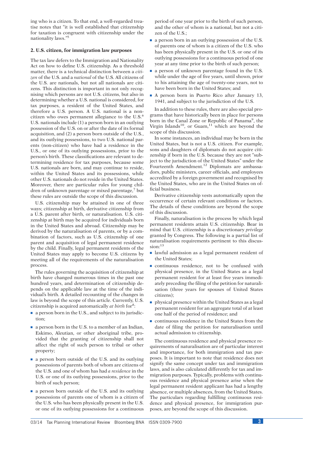ing who is a citizen. To that end, a well-regarded treatise notes that ''it is well established that citizenship for taxation is congruent with citizenship under the nationality laws.''<sup>5</sup>

## **2. U.S. citizen, for immigration law purposes**

The tax law defers to the Immigration and Nationality Act on how to define U.S. citizenship. As a threshold matter, there is a technical distinction between a *citizen* of the U.S. and a *national* of the U.S. All citizens of the U.S. are nationals, but not all nationals are citizens. This distinction is important in not only recognising which persons are not U.S. citizens, but also in determining whether a U.S. national is considered, for tax purposes, a resident of the United States, and therefore a U.S. person. A U.S. national is a noncitizen who owes permanent allegiance to the U.S.<sup>6</sup> U.S. nationals include (1) a person born in an outlying possession of the U.S. on or after the date of its formal acquisition, and (2) a person born outside of the U.S., and its outlying possessions, to two U.S. national parents (non-citizen) who have had a residence in the U.S., or one of its outlying possessions, prior to the person's birth. These classifications are relevant to determining residence for tax purposes, because some U.S. nationals are born, and may continue to reside, within the United States and its possessions, while other U.S. nationals do not reside in the United States. Moreover, there are particular rules for young children of unknown parentage or mixed parentage, $\frac{7}{1}$  but these rules are outside the scope of this discussion.

U.S. citizenship may be attained in one of three ways; citizenship at birth, derivative citizenship from a U.S. parent after birth, or naturalisation. U.S. citizenship at birth may be acquired for individuals born in the United States and abroad. Citizenship may be derived by the naturalisation of parents, or by a combination of factors, such as U.S. citizenship of one parent and acquisition of legal permanent residence by the child. Finally, legal permanent residents of the United States may apply to become U.S. citizens by meeting all of the requirements of the naturalisation process.

The rules governing the acquisition of citizenship at birth have changed numerous times in the past one hundred years, and determination of citizenship depends on the applicable law at the time of the individual's birth. A detailed recounting of the changes in law is beyond the scope of this article. Currently, U.S. citizenship is acquired automatically *at birth* for<sup>8</sup>:

- $\blacksquare$  a person born in the U.S., and subject to its jurisdiction;
- $\blacksquare$  a person born in the U.S. to a member of an Indian, Eskimo, Aleutian, or other aboriginal tribe, provided that the granting of citizenship shall not affect the right of such person to tribal or other property;
- **a** a person born outside of the U.S. and its outlying possessions of parents both of whom are citizens of the U.S. and one of whom has had *a residence* in the U.S. or one of its outlying possessions, prior to the birth of such person;
- a person born outside of the U.S. and its outlying possessions of parents one of whom is a citizen of the U.S. who has been physically present in the U.S. or one of its outlying possessions for a continuous

period of one year prior to the birth of such person, and the other of whom is a national, but not a citizen of the U.S.;

- a person born in an outlying possession of the U.S. of parents one of whom is a citizen of the U.S. who has been physically present in the U.S. or one of its outlying possessions for a continuous period of one year at any time prior to the birth of such person;
- $\blacksquare$  a person of unknown parentage found in the U.S. while under the age of five years, until shown, prior to his attaining the age of twenty-one years, not to have been born in the United States; and
- A person born in Puerto Rico after January 13, 1941, and subject to the jurisdiction of the U.S.

In addition to these rules, there are also special programs that have historically been in place for persons born in the Canal Zone or Republic of Panama<sup>9</sup>, the Virgin Islands<sup>10</sup>, or Guam, $11$  which are beyond the scope of this discussion.

In some instances, an individual may be born in the United States, but is not a U.S. citizen. For example, sons and daughters of diplomats do not acquire citizenship if born in the U.S. because they are not "subject to the jurisdiction of the United States'' under the Fourteenth Amendment.<sup>12</sup> Diplomats are ambassadors, public ministers, career officials, and employees accredited by a foreign government and recognised by the United States, who are in the United States on official business.

Derivative citizenship vests automatically upon the occurrence of certain relevant conditions or factors. The details of these conditions are beyond the scope of this discussion.

Finally, naturalisation is the process by which legal permanent residents attain U.S. citizenship. Bear in mind that U.S. citizenship is a discretionary *privilege* granted by Congress. The following is a partial list of naturalisation requirements pertinent to this discussion:<sup>13</sup>

- **I** lawful admission as a legal permanent resident of the United States;
- s continuous residence, not to be confused with physical presence, in the United States as a legal permanent resident for at least five years immediately preceding the filing of the petition for naturalisation (three years for spouses of United States citizens);
- $\blacksquare$  physical presence within the United States as a legal permanent resident for an aggregate total of at least one half of the period of residence; and
- $\blacksquare$  continuous residence in the United States from the date of filing the petition for naturalisation until actual admission to citizenship.

The continuous residence and physical presence requirements of naturalisation are of particular interest and importance, for both immigration and tax purposes. It is important to note that residence does not signify the same concept under tax and immigration laws, and is also calculated differently for tax and immigration purposes. Typically, problems with continuous residence and physical presence arise when the legal permanent resident applicant has had a lengthy absence, or multiple absences, from the United States. The particulars regarding fulfilling continuous residence and physical presence, for immigration purposes, are beyond the scope of this discussion.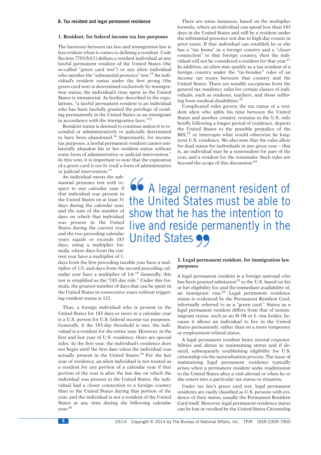#### **B. Tax resident and legal permanent residence**

#### **1. Resident, for federal income tax law purposes**

The harmony between tax law and immigration law is less evident when it comes to defining a resident. Code Section 7701(b)(1) defines a resident individual as any lawful permanent resident of the United States (the so-called ''green card test'') or any alien individual who satisfies the "substantial presence" test.<sup>14</sup> An individual's resident status under the first prong (the green card test) is determined exclusively by immigration status; the individual's time spent in the United States is immaterial. As further described in the regulations, "a lawful permanent resident is an individual who has been lawfully granted the privilege of residing permanently in the United States as an immigrant in accordance with the immigration laws.''<sup>15</sup>

Resident status is deemed to continue unless it is rescinded or administratively or judicially determined to have been abandoned.<sup>16</sup> Importantly, for income tax purposes, a lawful permanent resident cannot unilaterally abandon his or her resident status without some form of administrative or judicial intervention.'' In this vein, it is important to note that the expiration of a green card is *not by itself* a form of administrative or judicial intervention.<sup>17</sup>

An individual meets the substantial presence test with respect to any calendar year if that individual was present in the United States on at least 31 days during the calendar year, and the sum of the number of days on which that individual was present in the United States during the current year and the two preceding calendar years equals or exceeds 183 days, using a multiplier formula, where days from the current year have a multiplier of 1,

days from the first preceding taxable year have a multiplier of 1/3, and days from the second preceding calendar year have a multiplier of 1/6.<sup>18</sup> Generally, this test is simplified as the "183 day rule." Under this formula, the greatest number of days that can be spent in the United States in consecutive years without triggering resident status is 121.

Thus, a foreign individual who is present in the United States for 183 days or more in a calendar year is a U.S. person for U.S. federal income tax purposes. Generally, if the 183-day threshold is met, the individual is a resident for the entire year. However, in the first and last year of U.S. residence, there are special rules. In the first year, the individual's residence does not begin until the first date when the individual was actually present in the United States.<sup>19</sup> For the last year of residency, an alien individual is not treated as a resident for any portion of a calendar year if that portion of the year is after the last day on which the individual was present in the United States, the individual had a closer connection to a foreign country than to the United States during that portion of the year, and the individual is not a resident of the United States at any time during the following calendar year.<sup>20</sup>

There are some instances, based on the multiplier formula, where an individual can spend less than 183 days in the United States and still be a resident under the substantial presence test due to high day counts in prior years. If that individual can establish he or she has a "tax home" in a foreign country and a "closer connection'' to that foreign country, then the individual will not be considered a resident for that year.<sup>21</sup> In addition, an alien may qualify as a tax resident of a foreign country under the "tie-breaker" rules of an income tax treaty between that country and the United States. There are notable exceptions from the general tax residency rules for certain classes of individuals, such as students, teachers, and those suffering from medical disabilities.<sup>22</sup>

Complicated rules govern the tax status of a resident alien who splits his time between the United States and another country, remains in the U.S. only briefly following a longer period of residence, departs the United States to the possible prejudice of the  $IRS<sub>1</sub><sup>23</sup>$  or interrupts what would otherwise be longterm U.S. residence. We also note that the rules allow for dual status for individuals in any given year – that is, an individual may be a nonresident for part of the year, and a resident for the remainder. Such rules are beyond the scope of this discussion.<sup>24</sup>

**66** A legal permanent resident of the United States must be able to show that he has the intention to live and reside permanently in the **United States 99** 

# **2. Legal permanent resident, for immigration law purposes**

A legal permanent resident is a foreign national who has been granted admission<sup>25</sup> to the U.S. based on his or her eligibility for, and the immediate availability of, an immigrant visa.<sup>26</sup> Legal permanent residence status is evidenced by the Permanent Resident Card, informally referred to as a ''green card.'' Status as a legal permanent resident differs from that of nonimmigrant status, such as an H-1B or L visa holder, because it allows an individual to live in the United States permanently, rather than on a more temporary or employment-related status.

A legal permanent resident bears several responsibilities and duties in maintaining status and if desired, subsequently establishing eligibility for U.S. citizenship via the naturalisation process. The issue of maintaining legal permanent residence typically arises when a permanent resident seeks readmission to the United States after a visit abroad or when he or she enters into a particular tax status or situation.

Under tax law's green card test, legal permanent residents are easily classified as U.S. persons with evidence of their status, usually the Permanent Resident Card itself. However, legal permanent residence status can be lost or revoked by the United States Citizenship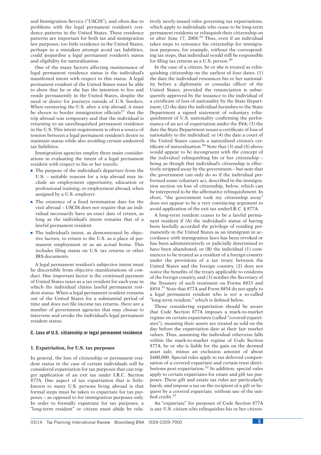and Immigration Service (''USCIS''), and often due to problems with the legal permanent resident's residence patterns in the United States. These residence patterns are important for both tax and immigration law purposes; too little residence in the United States, perhaps in a mistaken attempt avoid tax liabilities, could jeopardise a legal permanent resident's status and eligibility for naturalisation.

One of the many factors affecting maintenance of legal permanent residence status is the individual's manifested intent with respect to this status. A legal permanent resident of the United States must be able to show that he or she has the intention to live and reside permanently in the United States, despite the need or desire for journeys outside of U.S. borders. When reentering the U.S. after a trip abroad, it must be shown to border immigration officials<sup>27</sup> that the trip abroad was temporary and that the individual is returning to an unrelinquished permanent residence in the U.S. This intent requirement is often a source of tension between a legal permanent resident's desire to maintain status while also avoiding certain undesired tax liabilities.

Immigration agencies employ three main considerations in evaluating the intent of a legal permanent resident with respect to his or her travels:

- $\blacksquare$  The purpose of the individual's departure from the U.S. – suitable reasons for a trip abroad may include an employment opportunity, education or professional training, or employment abroad, when assigned by a U.S. employer.
- $\blacksquare$  The existence of a fixed termination date for the visit abroad – USCIS does not require that an individual necessarily have an exact date of return, as long as the individual's intent remains that of a lawful permanent resident.
- $\blacksquare$  The individual's intent, as demonstrated by objective factors, to return to the U.S. as a place of permanent employment or as an actual home. This includes filing status on U.S. tax returns or other IRS documents.

A legal permanent resident's subjective intent must be discernible from objective manifestations of conduct. One important factor is the continued payment of United States taxes as a tax resident for each year in which the individual claims lawful permanent resident status. When a legal permanent resident remains out of the United States for a substantial period of time and does not file income tax returns, there are a number of government agencies that may choose to intervene and revoke the individual's legal permanent resident status.

#### **C. Loss of U.S. citizenship or legal permanent residence**

#### **1. Expatriation, for U.S. tax purposes**

In general, the loss of citizenship or permanent resident status in the case of certain individuals will be considered expatriation for tax purposes that can trigger application of an exit tax under I.R.C. Section 877A. One aspect of tax expatriation that is littleknown to many U.S. persons living abroad is that formal steps must be taken to expatriate for tax purposes – as opposed to for immigration purposes only. In order to formally expatriate for tax purposes, a "long-term resident" or citizen must abide by relatively newly-issued rules governing tax expatriations, which apply to individuals who cease to be long-term permanent residents or relinquish their citizenship on or after June 17, 2008.<sup>28</sup> Thus, even if an individual takes steps to renounce his citizenship for immigration purposes, for example, without the corresponding tax steps, that individual would still be responsible for filing tax returns as a U.S. person.<sup>29</sup>

In the case of a citizen, he or she is treated as relinquishing citizenship on the earliest of four dates: (1) the date the individual renounces his or her nationality before a diplomatic or consular officer of the United States, provided the renunciation is subsequently approved by the issuance to the individual of a certificate of loss of nationality by the State Department; (2) the date the individual furnishes to the State Department a signed statement of voluntary relinquishment of U.S. nationality confirming the performance of an act of expatriation under the INA; (3) the date the State Department issues a certificate of loss of nationality to the individual; or (4) the date a court of the United States cancels a naturalised citizen's certificate of naturalisation.<sup>30</sup> Note that  $(3)$  and  $(4)$  above would appear to be incongruent with the concept of the *individual* relinquishing his or her citizenship – being as though that individual's citizenship is effectively stripped away by the government – but note that the government can only do so if the individual performed some voluntary act, described in the immigration section on loss of citizenship, below, which can be interpreted to be the affirmative relinquishment. In short, ''the government took my citizenship away'' does not appear to be a very convincing argument to avoid application of the exit tax underI.R.C. § 877A.

A long-term resident ceases to be a lawful permanent resident if (A) the individual's status of having been lawfully accorded the privilege of residing permanently in the United States as an immigrant in accordance with immigration laws has been revoked or has been administratively or judicially determined to have been abandoned, or (B) the individual (1) commences to be treated as a resident of a foreign country under the provisions of a tax treaty between the United States and the foreign country, (2) does not waive the benefits of the treaty applicable to residents of the foreign country, and (3) notifies the Secretary of the Treasury of such treatment on Forms 8833 and 8854.<sup>31</sup> Note that 877A and Form 8854 do not apply to a legal permanent resident who is *not* a so-called ''long-term resident,'' which is defined below.

Those considering expatriation should be aware that Code Section 877A imposes a mark-to-market regime on certain expatriates (called ''covered expatriates''), meaning their assets are treated as sold on the day before the expatriation date at their fair market values. Thus, assuming the individual otherwise falls within the mark-to-market regime of Code Section 877A, he or she is liable for the gain on the deemed asset sale, minus an exclusion amount of about \$600,000. Special rules apply to tax deferred compensation of a covered expatriate and certain trust distributions post-expatriation.<sup>32</sup> In addition, special rules apply to certain expatriates for estate and gift tax purposes. These gift and estate tax rules are particularly harsh, and impose a tax on the recipient of a gift or bequest by a covered expatriate, without use of the unified credit.<sup>33</sup>

An ''expatriate'' for purposes of Code Section 877A is any U.S. citizen who relinquishes his or her citizen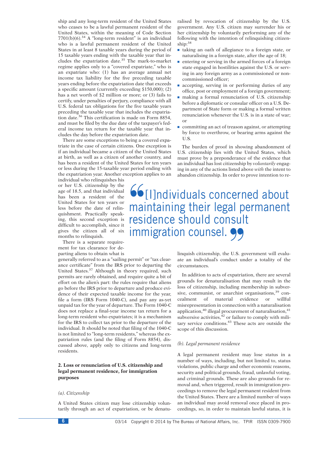ship and any long-term resident of the United States who ceases to be a lawful permanent resident of the United States, within the meaning of Code Section  $7701(b)(6).$ <sup>34</sup> A "long-term resident" is an individual who is a lawful permanent resident of the United States in at least 8 taxable years during the period of 15 taxable years ending with the taxable year that includes the expatriation date.<sup>35</sup> The mark-to-market regime applies only to a ''covered expatriate,'' who is an expatriate who: (1) has an average annual net income tax liability for the five preceding taxable years ending before the expatriation date that exceeds a specific amount (currently exceeding \$150,000); (2) has a net worth of \$2 million or more; or (3) fails to certify, under penalties of perjury, compliance with all U.S. federal tax obligations for the five taxable years preceding the taxable year that includes the expatriation date.<sup>36</sup> This certification is made on Form 8854, and must be filed by the due date of the taxpayer's federal income tax return for the taxable year that includes the day before the expatriation date.

There are some exceptions to being a covered expatriate in the case of certain citizens. One exception is if an individual became a citizen of the United States at birth, as well as a citizen of another country, and has been a resident of the United States for ten years or less during the 15-taxable year period ending with the expatriation year. Another exception applies to an

individual who relinquishes his or her U.S. citizenship by the age of 18.5, and that individual has been a resident of the United States for ten years or less before the date of relinquishment. Practically speaking, this second exception is difficult to accomplish, since it gives the citizen all of six months to relinquish.

There is a separate requirement for tax clearance for departing aliens to obtain what is

generally referred to as a ''sailing permit'' or ''tax clearance certificate'' from the IRS prior to departing the United States.<sup>37</sup> Although in theory required, such permits are rarely obtained, and require quite a bit of effort on the alien's part: the rules require that aliens go before the IRS prior to departure and produce evidence of their expected taxable income for the year, file a form (IRS Form 1040-C), and pay any as-yet unpaid tax for the year of departure. The Form 1040-C does not replace a final-year income tax return for a long-term resident who expatriates; it is a mechanism for the IRS to collect tax prior to the departure of the individual. It should be noted that filing of the 1040-C is not limited to "long-term residents," whereas the expatriation rules (and the filing of Form 8854), discussed above, apply only to citizens and long-term residents.

## **2. Loss or renunciation of U.S. citizenship and legal permanent residence, for immigration purposes**

## *(a). Citizenship*

A United States citizen may lose citizenship voluntarily through an act of expatriation, or be denaturalised by revocation of citizenship by the U.S. government. Any U.S. citizen may surrender his or her citizenship by voluntarily performing any of the following with the intention of relinquishing citizenship: 38

- $\blacksquare$  taking an oath of allegiance to a foreign state, or naturalising in a foreign state, after the age of 18;
- $\blacksquare$  entering or serving in the armed forces of a foreign state engaged in hostilities against the U.S. or serving in any foreign army as a commissioned or noncommissioned officer;
- accepting, serving in or performing duties of any office, post or employment of a foreign government;
- making a formal renunciation of U.S. citizenship before a diplomatic or consular officer on a U.S. Department of State form or making a formal written renunciation whenever the U.S. is in a state of war; or
- $\blacksquare$  committing an act of treason against, or attempting by force to overthrow, or bearing arms against the U.S.

The burden of proof in showing abandonment of U.S. citizenship lies with the United States, which must prove by a preponderance of the evidence that an individual has lost citizenship by *voluntarily* engaging in any of the actions listed above *with* the intent to abandon citizenship. In order to prove intention to re-

**''**[I]ndividuals concerned about maintaining their legal permanent residence should consult immigration counsel. 99

> linquish citizenship, the U.S. government will evaluate an individual's conduct under a totality of the circumstances.

> In addition to acts of expatriation, there are several grounds for denaturalisation that may result in the loss of citizenship, including membership in subversive, communist, or anarchist organisations, $39$  concealment of material evidence or willful misrepresentation in connection with a naturalisation application, $40$  illegal procurement of naturalisation, $41$ subversive activities, $42$  or failure to comply with military service conditions.<sup>43</sup> These acts are outside the scope of this discussion.

#### *(b). Legal permanent residence*

A legal permanent resident may lose status in a number of ways, including, but not limited to, status violations, public charge and other economic reasons, security and political grounds, fraud, unlawful voting, and criminal grounds. These are also grounds for removal and, when triggered, result in immigration proceedings to remove the legal permanent resident from the United States. There are a limited number of ways an individual may avoid removal once placed in proceedings, so, in order to maintain lawful status, it is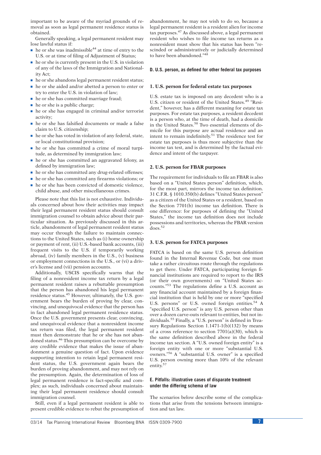important to be aware of the myriad grounds of removal as soon as legal permanent residence status is obtained.

Generally speaking, a legal permanent resident may lose lawful status if:

- $\blacksquare$  he or she was inadmissible<sup>44</sup> at time of entry to the U.S. or at time of filing of Adjustment of Status;
- $\blacksquare$  he or she is currently present in the U.S. in violation of any of the laws of the Immigration and Nationality Act;
- $\blacksquare$  he or she abandons legal permanent resident status;
- $\blacksquare$  he or she aided and/or abetted a person to enter or try to enter the U.S. in violation of law;
- $\blacksquare$  he or she has committed marriage fraud;
- $\blacksquare$  he or she is a public charge;
- $\blacksquare$  he or she has engaged in criminal and/or terrorist activity;
- $\blacksquare$  he or she has falsified documents or made a false claim to U.S. citizenship;
- $\blacksquare$  he or she has voted in violation of any federal, state, or local constitutional provision;
- $\blacksquare$  he or she has committed a crime of moral turpitude, as determined by immigration law;
- $\blacksquare$  he or she has committed an aggravated felony, as defined by immigration law;
- $\blacksquare$  he or she has committed any drug-related offenses;
- $\blacksquare$  he or she has committed any firearms violations; or
- $\blacksquare$  he or she has been convicted of domestic violence, child abuse, and other miscellaneous crimes.

Please note that this list is not exhaustive. Individuals concerned about how their activities may impact their legal permanent resident status should consult immigration counsel to obtain advice about their particular situation. As previously discussed in this article, abandonment of legal permanent resident status may occur through the failure to maintain connections to the United States, such as (i) home ownership or payment of rent, (ii) U.S.-based bank accounts, (iii) frequent visits to the U.S. if temporarily working abroad, (iv) family members in the U.S., (v) business or employment connections in the U.S., or (vi) a driver's license and (vii) pension accounts.

Additionally, USCIS specifically warns that the filing of a nonresident income tax return by a legal permanent resident raises a rebuttable presumption that the person has abandoned his legal permanent residence status.<sup>45</sup> However, ultimately, the U.S. government bears the burden of proving by clear, convincing, and unequivocal evidence that the person has in fact abandoned legal permanent residence status. Once the U.S. government presents clear, convincing, and unequivocal evidence that a nonresident income tax return was filed, the legal permanent resident must then demonstrate that he or she has not abandoned status.<sup>46</sup> This presumption can be overcome by any credible evidence that makes the issue of abandonment a genuine question of fact. Upon evidence supporting intention to retain legal permanent resident status, the U.S. government again bears the burden of proving abandonment, and may not rely on the presumption. Again, the determination of loss of legal permanent residence is fact-specific and complex; as such, individuals concerned about maintaining their legal permanent residence should consult immigration counsel.

Still, even if a legal permanent resident is able to present credible evidence to rebut the presumption of abandonment, he may not wish to do so, because a legal permanent resident is a resident alien for income tax purposes.<sup>47</sup> As discussed above, a legal permanent resident who wishes to file income tax returns as a nonresident must show that his status has been ''rescinded or administratively or judicially determined to have been abandoned."48

### **D. U.S. person, as defined for other federal tax purposes**

#### **1. U.S. person for federal estate tax purposes**

U.S. estate tax is imposed on any decedent who is a U.S. citizen or resident of the United States.<sup>49</sup> "Resident,'' however, has a different meaning for estate tax purposes. For estate tax purposes, a resident decedent is a person who, at the time of death, had a domicile in the United States.<sup>50</sup> Two essential elements of domicile for this purpose are actual residence and an intent to remain indefinitely.<sup>51</sup> The residence test for estate tax purposes is thus more subjective than the income tax test, and is determined by the factual evidence and intent of the taxpayer.

#### **2. U.S. person for FBAR purposes**

The requirement for individuals to file an FBAR is also based on a ''United States person'' definition, which, for the most part, mirrors the income tax definition. 31 C.F.R. § 1010.350(b) defines ''United States person'' as a citizen of the United States or a resident, based on the Section 7701(b) income tax definition. There is one difference: for purposes of defining the ''United States,'' the income tax definition does not include possessions and territories, whereas the FBAR version does.<sup>52</sup>

## **3. U.S. person for FATCA purposes**

FATCA is based on the same U.S. person definition found in the Internal Revenue Code, but one must take a rather circuitous route through the regulations to get there. Under FATCA, participating foreign financial institutions are required to report to the IRS (or their own governments) on ''United States accounts.''<sup>53</sup> The regulations define a U.S. account as any financial account maintained by a foreign financial institution that is held by one or more ''specified U.S. persons" or U.S. owned foreign entities.<sup>54</sup> A "specified U.S. person" is any U.S. person other than over a dozen carve-outs relevant to entities, but not individuals.<sup>55</sup> Finally, a "U.S. person" is defined in Treasury Regulations Section 1.1471-1(b)(132) by means of a cross reference to section  $7701(a)(30)$ , which is the same definition described above in the federal income tax section. A ''U.S. owned foreign entity'' is a foreign entity with one or more ''substantial U.S. owners."<sup>56</sup> A "substantial U.S. owner" is a specified U.S. person owning more than 10% of the relevant entity.<sup>57</sup>

## **E. Pitfalls: illustrative cases of disparate treatment under the differing schema of law**

The scenarios below describe some of the complications that arise from the tensions between immigration and tax law.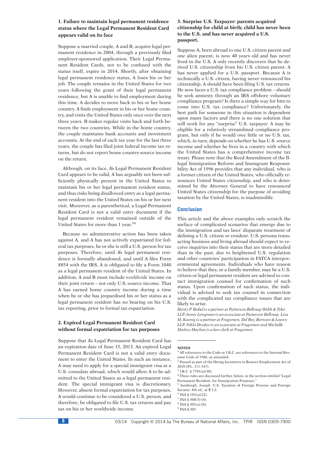# **1. Failure to maintain legal permanent residence status where the Legal Permanent Resident Card appears valid on its face**

Suppose a married couple, A and B, acquire legal permanent residence in 2004, through a previously filed employer-sponsored application. Their Legal Permanent Resident Cards, not to be confused with the status itself, expire in 2014. Shortly, after obtaining legal permanent residence status, A loses his or her job. The couple remains in the United States for two years following the grant of their legal permanent residence, but A is unable to find employment during this time. A decides to move back to his or her home country. A finds employment in his or her home country, and visits the United States only once over the next three years. B makes regular visits back and forth between the two countries. While in the home country, the couple maintains bank accounts and investment accounts. At the end of each tax year for the last three years, the couple has filed joint federal income tax returns, but do not report home country-source income on the return.

Although, on its face, A's Legal Permanent Resident Card appears to be valid, A has arguably not been sufficiently physically present in the United States to maintain his or her legal permanent resident status, and thus risks being disallowed entry as a legal permanent resident into the United States on his or her next visit. Moreover, as a parenthetical, a Legal Permanent Resident Card is not a valid entry document if the legal permanent resident remained outside of the United States for more than 1 year.<sup>58</sup>

Because no administrative action has been taken against A, and A has not actively expatriated for federal tax purposes, he or she is still a U.S. person for tax purposes. Therefore, until A's legal permanent residence is formally abandoned, and until A files Form 8854 with the IRS, A is obligated to file a Form 1040 as a legal permanent resident of the United States. In addition, A and B must include *worldwide* income on their joint return – not only U.S.-source income. That A has earned home country income during a time when he or she has jeopardised his or her status as a legal permanent resident has no bearing on his U.S. tax reporting, prior to formal tax expatriation.

## **2. Expired Legal Permanent Resident Card without formal expatriation for tax purposes**

Suppose that A's Legal Permanent Resident Card has an expiration date of June 15, 2013. An expired Legal Permanent Resident Card is not a valid entry document to enter the United States. In such an instance, A may need to apply for a special immigrant visa at a U.S. consulate abroad, which would allow A to be admitted to the United States as a legal permanent resident. The special immigrant visa is discretionary. However, absent formal expatriation for tax purposes, A would continue to be considered a U.S. person, and therefore, be obligated to file U.S. tax returns and pay tax on his or her worldwide income.

# **3. Surprise U.S. Taxpayer: parents acquired citizenship for child at birth; child has never been to the U.S. and has never acquired a U.S. passport.**

Suppose A, born abroad to one U.S. citizen parent and one alien parent, is now 40 years old and has never lived in the U.S. A only recently discovers that he derived U.S. citizenship from his U.S. citizen parent. A has never applied for a U.S. passport. Because A is technically a U.S. citizen, having never renounced his citizenship, A should have been filing U.S. tax returns. He now faces a U.S. tax compliance problem – should he seek amnesty through an IRS offshore voluntary compliance program? Is there a simple way for him to come into U.S. tax compliance? Unfortunately, the best path for someone in this situation is dependent upon many factors and there is no one solution that will work for any "surprise" U.S. taxpayer. A may be eligible for a relatively streamlined compliance program, but only if he would owe little or no U.S. tax, which, in turn, depends on whether he has U.S. source income and whether he lives in a country with which the United States has a comprehensive income tax treaty. Please note that the Reed Amendment of the Illegal Immigration Reform and Immigrant Responsibility Act of 1996 provides that any individual, who is a former citizen of the United States, who officially renounces United States citizenship, and who is determined by the Attorney General to have renounced United States citizenship for the purpose of avoiding taxation by the United States, is inadmissible.

# **Conclusion**

This article and the above examples only scratch the surface of complicated scenarios that emerge due to the immigration and tax laws' disparate treatment of defining a U.S. citizen or resident. U.S. persons transacting business and living abroad should expect to receive inquiries into their status that are more detailed than in the past, due to heightened U.S. regulation and other countries' participation in FATCA intergovernmental agreements. Individuals who have reason to believe that they, or a family member, may be a U.S. citizen or legal permanent resident are advised to contact immigration counsel for confirmation of such status. Upon confirmation of such status, the individual is advised to seek tax counsel in connection with the complicated tax compliance issues that are likely to arise.

*Henry P. Bubel is a partner at Patterson Belknap Webb & Tyler LLP. Jenny Longman is an associate at Patterson Belknap. Lisa M. Koenig is a partner at Fragomen, Del Rey, Bernsen & Loewy LLP, Nikki Dryden is an associate at Fragomen and Michelle Mun˜ oz-Machen is a law clerk at Fragomen.*

#### **NOTES**

<sup>2</sup> Passed as part of the Hiring Incentives to Restore Employment Act of 2010 (P.L. 111-147).

<sup>4</sup> These rules are discussed further, below, in the section entitled ''Legal Permanent Resident, for Immigration Purposes.

 $6$  INA  $6$  101(a)(22).

 $8$  INA  $8$  301(a)-(h).

 $1$  All references to the Code or I.R.C. are references to the Internal Revenue Code of 1986, as amended.

 $3$  I.R.C. § 7701(a)(30).

<sup>5</sup> Isenbergh, Joseph. U.S. Taxation of Foreign Persons and Foreign Income. 4th ed., at ¶ 2.2.

 $7$  INA § 308(3)-(4).

<sup>&</sup>lt;sup>9</sup> INA § 303.